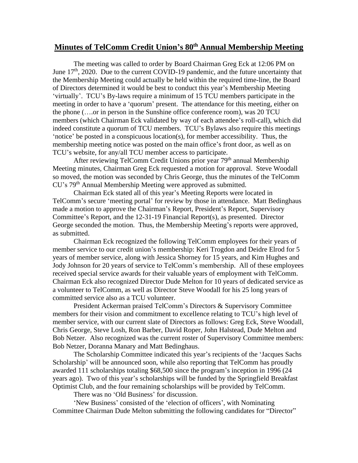## **Minutes of TelComm Credit Union's 80th Annual Membership Meeting**

The meeting was called to order by Board Chairman Greg Eck at 12:06 PM on June  $17<sup>th</sup>$ , 2020. Due to the current COVID-19 pandemic, and the future uncertainty that the Membership Meeting could actually be held within the required time-line, the Board of Directors determined it would be best to conduct this year's Membership Meeting 'virtually'. TCU's By-laws require a minimum of 15 TCU members participate in the meeting in order to have a 'quorum' present. The attendance for this meeting, either on the phone (….or in person in the Sunshine office conference room), was 20 TCU members (which Chairman Eck validated by way of each attendee's roll-call), which did indeed constitute a quorum of TCU members. TCU's Bylaws also require this meetings 'notice' be posted in a conspicuous location(s), for member accessibility. Thus, the membership meeting notice was posted on the main office's front door, as well as on TCU's website, for any/all TCU member access to participate.

After reviewing TelComm Credit Unions prior year 79<sup>th</sup> annual Membership Meeting minutes, Chairman Greg Eck requested a motion for approval. Steve Woodall so moved, the motion was seconded by Chris George, thus the minutes of the TelComm CU's 79th Annual Membership Meeting were approved as submitted.

 Chairman Eck stated all of this year's Meeting Reports were located in TelComm's secure 'meeting portal' for review by those in attendance. Matt Bedinghaus made a motion to approve the Chairman's Report, President's Report, Supervisory Committee's Report, and the 12-31-19 Financial Report(s), as presented. Director George seconded the motion. Thus, the Membership Meeting's reports were approved, as submitted.

Chairman Eck recognized the following TelComm employees for their years of member service to our credit union's membership: Keri Trogdon and Deidre Elrod for 5 years of member service, along with Jessica Shorney for 15 years, and Kim Hughes and Jody Johnson for 20 years of service to TelComm's membership. All of these employees received special service awards for their valuable years of employment with TelComm. Chairman Eck also recognized Director Dude Melton for 10 years of dedicated service as a volunteer to TelComm, as well as Director Steve Woodall for his 25 long years of committed service also as a TCU volunteer.

President Ackerman praised TelComm's Directors & Supervisory Committee members for their vision and commitment to excellence relating to TCU's high level of member service, with our current slate of Directors as follows: Greg Eck, Steve Woodall, Chris George, Steve Losh, Ron Barber, David Roper, John Halstead, Dude Melton and Bob Netzer. Also recognized was the current roster of Supervisory Committee members: Bob Netzer, Doranna Manary and Matt Bedinghaus.

The Scholarship Committee indicated this year's recipients of the 'Jacques Sachs Scholarship' will be announced soon, while also reporting that TelComm has proudly awarded 111 scholarships totaling \$68,500 since the program's inception in 1996 (24 years ago). Two of this year's scholarships will be funded by the Springfield Breakfast Optimist Club, and the four remaining scholarships will be provided by TelComm.

There was no 'Old Business' for discussion.

'New Business' consisted of the 'election of officers', with Nominating Committee Chairman Dude Melton submitting the following candidates for "Director"